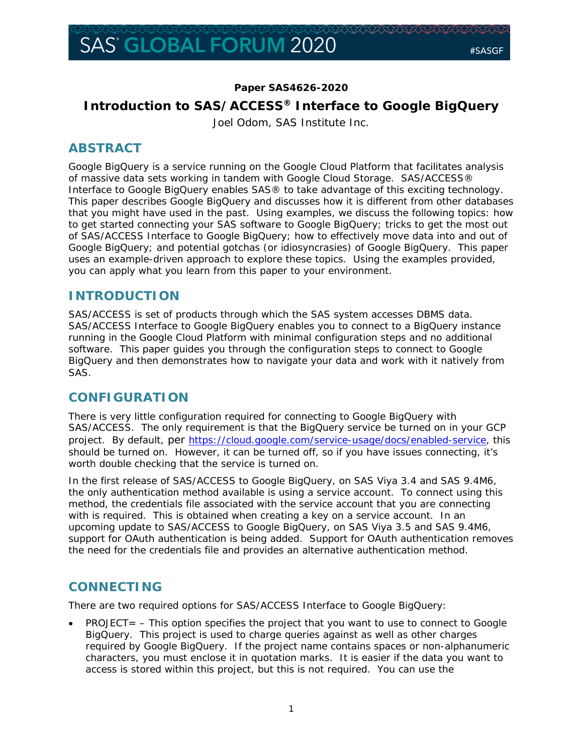## **Paper SAS4626-2020**

# **Introduction to SAS/ACCESS® Interface to Google BigQuery** Joel Odom, SAS Institute Inc.

# **ABSTRACT**

Google BigQuery is a service running on the Google Cloud Platform that facilitates analysis of massive data sets working in tandem with Google Cloud Storage. SAS/ACCESS® Interface to Google BigQuery enables SAS® to take advantage of this exciting technology. This paper describes Google BigQuery and discusses how it is different from other databases that you might have used in the past. Using examples, we discuss the following topics: how to get started connecting your SAS software to Google BigQuery; tricks to get the most out of SAS/ACCESS Interface to Google BigQuery; how to effectively move data into and out of Google BigQuery; and potential gotchas (or idiosyncrasies) of Google BigQuery. This paper uses an example-driven approach to explore these topics. Using the examples provided, you can apply what you learn from this paper to your environment.

# **INTRODUCTION**

SAS/ACCESS is set of products through which the SAS system accesses DBMS data. SAS/ACCESS Interface to Google BigQuery enables you to connect to a BigQuery instance running in the Google Cloud Platform with minimal configuration steps and no additional software. This paper guides you through the configuration steps to connect to Google BigQuery and then demonstrates how to navigate your data and work with it natively from SAS.

# **CONFIGURATION**

There is very little configuration required for connecting to Google BigQuery with SAS/ACCESS. The only requirement is that the BigQuery service be turned on in your GCP project. By default, per https://cloud.google.com/service-usage/docs/enabled-service, this should be turned on. However, it can be turned off, so if you have issues connecting, it's worth double checking that the service is turned on.

In the first release of SAS/ACCESS to Google BigQuery, on SAS Viya 3.4 and SAS 9.4M6, the only authentication method available is using a service account. To connect using this method, the credentials file associated with the service account that you are connecting with is required. This is obtained when creating a key on a service account. In an upcoming update to SAS/ACCESS to Google BigQuery, on SAS Viya 3.5 and SAS 9.4M6, support for OAuth authentication is being added. Support for OAuth authentication removes the need for the credentials file and provides an alternative authentication method.

# **CONNECTING**

There are two required options for SAS/ACCESS Interface to Google BigQuery:

 $PROJECT = - This option specifies the project that you want to use to connect to Google$ BigQuery. This project is used to charge queries against as well as other charges required by Google BigQuery. If the project name contains spaces or non-alphanumeric characters, you must enclose it in quotation marks. It is easier if the data you want to access is stored within this project, but this is not required. You can use the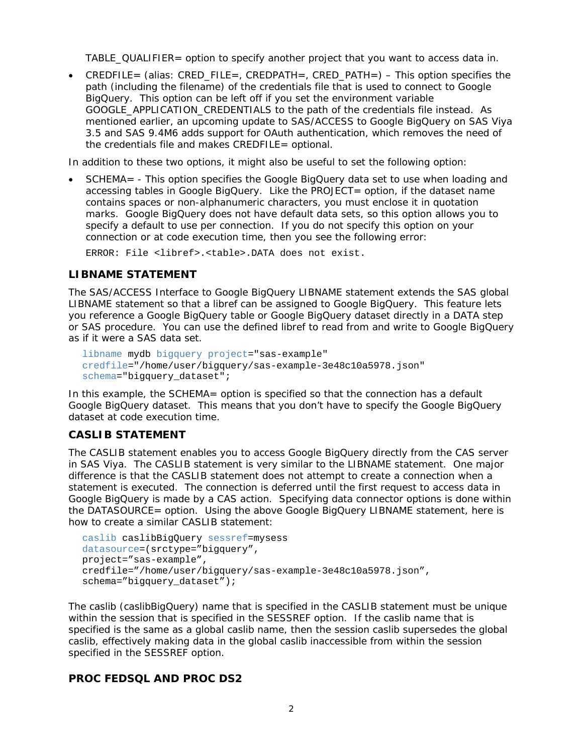TABLE\_QUALIFIER= option to specify another project that you want to access data in.

• CREDFILE= (alias: CRED\_FILE=, CREDPATH=, CRED\_PATH=) – This option specifies the path (including the filename) of the credentials file that is used to connect to Google BigQuery. This option can be left off if you set the environment variable GOOGLE\_APPLICATION\_CREDENTIALS to the path of the credentials file instead. As mentioned earlier, an upcoming update to SAS/ACCESS to Google BigQuery on SAS Viya 3.5 and SAS 9.4M6 adds support for OAuth authentication, which removes the need of the credentials file and makes CREDFILE= optional.

In addition to these two options, it might also be useful to set the following option:

• SCHEMA= - This option specifies the Google BigQuery data set to use when loading and accessing tables in Google BigQuery. Like the PROJECT= option, if the dataset name contains spaces or non-alphanumeric characters, you must enclose it in quotation marks. Google BigQuery does not have default data sets, so this option allows you to specify a default to use per connection. If you do not specify this option on your connection or at code execution time, then you see the following error:

ERROR: File <libref>.<table>.DATA does not exist.

### **LIBNAME STATEMENT**

The SAS/ACCESS Interface to Google BigQuery LIBNAME statement extends the SAS global LIBNAME statement so that a libref can be assigned to Google BigQuery. This feature lets you reference a Google BigQuery table or Google BigQuery dataset directly in a DATA step or SAS procedure. You can use the defined libref to read from and write to Google BigQuery as if it were a SAS data set.

```
libname mydb bigquery project="sas-example" 
credfile="/home/user/bigquery/sas-example-3e48c10a5978.json"
schema="bigquery_dataset";
```
In this example, the SCHEMA= option is specified so that the connection has a default Google BigQuery dataset. This means that you don't have to specify the Google BigQuery dataset at code execution time.

#### **CASLIB STATEMENT**

The CASLIB statement enables you to access Google BigQuery directly from the CAS server in SAS Viya. The CASLIB statement is very similar to the LIBNAME statement. One major difference is that the CASLIB statement does not attempt to create a connection when a statement is executed. The connection is deferred until the first request to access data in Google BigQuery is made by a CAS action. Specifying data connector options is done within the DATASOURCE= option. Using the above Google BigQuery LIBNAME statement, here is how to create a similar CASLIB statement:

```
caslib caslibBigQuery sessref=mysess 
datasource=(srctype="bigquery", 
project="sas-example", 
credfile="/home/user/bigquery/sas-example-3e48c10a5978.json", 
schema="bigquery_dataset");
```
The caslib (caslibBigQuery) name that is specified in the CASLIB statement must be unique within the session that is specified in the SESSREF option. If the caslib name that is specified is the same as a global caslib name, then the session caslib supersedes the global caslib, effectively making data in the global caslib inaccessible from within the session specified in the SESSREF option.

#### **PROC FEDSQL AND PROC DS2**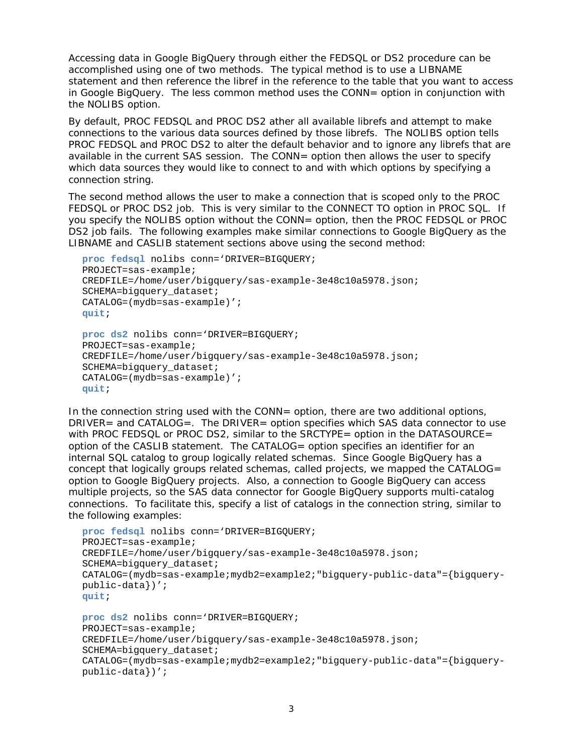Accessing data in Google BigQuery through either the FEDSQL or DS2 procedure can be accomplished using one of two methods. The typical method is to use a LIBNAME statement and then reference the libref in the reference to the table that you want to access in Google BigQuery. The less common method uses the CONN= option in conjunction with the NOLIBS option.

By default, PROC FEDSQL and PROC DS2 ather all available librefs and attempt to make connections to the various data sources defined by those librefs. The NOLIBS option tells PROC FEDSQL and PROC DS2 to alter the default behavior and to ignore any librefs that are available in the current SAS session. The CONN= option then allows the user to specify which data sources they would like to connect to and with which options by specifying a connection string.

The second method allows the user to make a connection that is scoped only to the PROC FEDSQL or PROC DS2 job. This is very similar to the CONNECT TO option in PROC SQL. If you specify the NOLIBS option without the CONN= option, then the PROC FEDSQL or PROC DS2 job fails. The following examples make similar connections to Google BigQuery as the LIBNAME and CASLIB statement sections above using the second method:

```
proc fedsql nolibs conn='DRIVER=BIGQUERY;
PROJECT=sas-example;
CREDFILE=/home/user/bigquery/sas-example-3e48c10a5978.json;
SCHEMA=bigquery dataset;
CATALOG=(mydb=sas-example)';
quit;
proc ds2 nolibs conn='DRIVER=BIGQUERY;
```

```
PROJECT=sas-example;
CREDFILE=/home/user/bigquery/sas-example-3e48c10a5978.json;
SCHEMA=bigquery dataset;
CATALOG=(mydb=sas-example)';
quit;
```
In the connection string used with the CONN= option, there are two additional options, DRIVER= and CATALOG=. The DRIVER= option specifies which SAS data connector to use with PROC FEDSQL or PROC DS2, similar to the SRCTYPE= option in the DATASOURCE= option of the CASLIB statement. The CATALOG= option specifies an identifier for an internal SQL catalog to group logically related schemas. Since Google BigQuery has a concept that logically groups related schemas, called projects, we mapped the CATALOG= option to Google BigQuery projects. Also, a connection to Google BigQuery can access multiple projects, so the SAS data connector for Google BigQuery supports multi-catalog connections. To facilitate this, specify a list of catalogs in the connection string, similar to the following examples:

```
proc fedsql nolibs conn='DRIVER=BIGQUERY;
PROJECT=sas-example;
CREDFILE=/home/user/bigquery/sas-example-3e48c10a5978.json;
SCHEMA=bigquery_dataset;
CATALOG=(mydb=sas-example;mydb2=example2;"bigquery-public-data"={bigquery-
public-data})';
quit;
proc ds2 nolibs conn='DRIVER=BIGQUERY;
PROJECT=sas-example;
CREDFILE=/home/user/bigquery/sas-example-3e48c10a5978.json;
SCHEMA=bigquery_dataset;
CATALOG=(mydb=sas-example;mydb2=example2;"bigquery-public-data"={bigquery-
public-data})';
```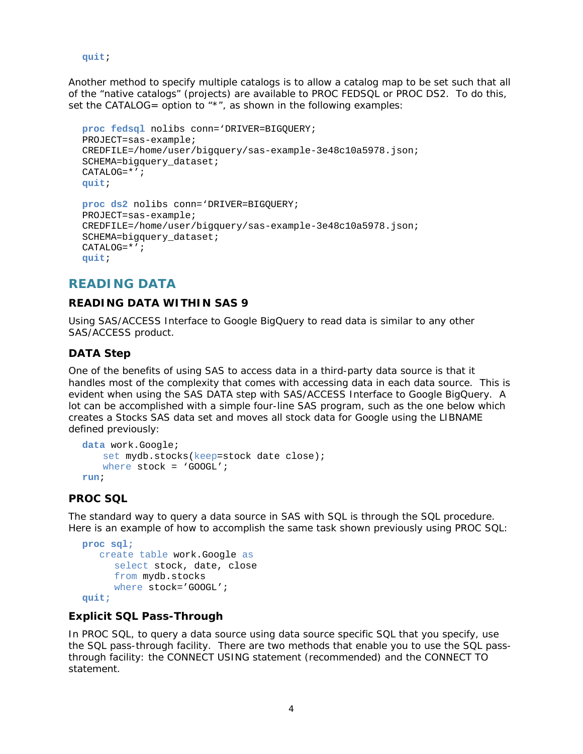```
quit;
```
Another method to specify multiple catalogs is to allow a catalog map to be set such that all of the "native catalogs" (projects) are available to PROC FEDSQL or PROC DS2. To do this, set the CATALOG= option to "\*", as shown in the following examples:

```
proc fedsql nolibs conn='DRIVER=BIGQUERY;
PROJECT=sas-example;
CREDFILE=/home/user/bigquery/sas-example-3e48c10a5978.json;
SCHEMA=bigquery dataset;
CATALOG=*';
quit;
proc ds2 nolibs conn='DRIVER=BIGQUERY;
```

```
PROJECT=sas-example;
CREDFILE=/home/user/bigquery/sas-example-3e48c10a5978.json;
SCHEMA=bigquery_dataset;
CATALOG=*';
quit;
```
# **READING DATA**

## **READING DATA WITHIN SAS 9**

Using SAS/ACCESS Interface to Google BigQuery to read data is similar to any other SAS/ACCESS product.

## **DATA Step**

One of the benefits of using SAS to access data in a third-party data source is that it handles most of the complexity that comes with accessing data in each data source. This is evident when using the SAS DATA step with SAS/ACCESS Interface to Google BigQuery. A lot can be accomplished with a simple four-line SAS program, such as the one below which creates a Stocks SAS data set and moves all stock data for Google using the LIBNAME defined previously:

```
data work.Google;
   set mydb.stocks(keep=stock date close);
   where stock = 'GOOGL';
run;
```
## **PROC SQL**

The standard way to query a data source in SAS with SQL is through the SQL procedure. Here is an example of how to accomplish the same task shown previously using PROC SQL:

```
proc sql;
    create table work.Google as
      select stock, date, close
      from mydb.stocks
     where stock='GOOGL';
quit;
```
## *Explicit SQL Pass-Through*

In PROC SQL, to query a data source using data source specific SQL that you specify, use the SQL pass-through facility. There are two methods that enable you to use the SQL passthrough facility: the CONNECT USING statement (recommended) and the CONNECT TO statement.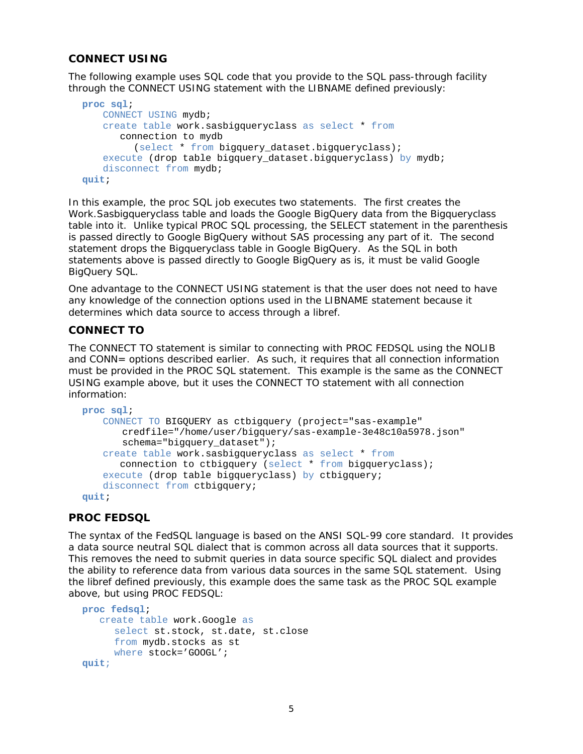### *CONNECT USING*

The following example uses SQL code that you provide to the SQL pass-through facility through the CONNECT USING statement with the LIBNAME defined previously:

```
proc sql;
   CONNECT USING mydb;
   create table work.sasbigqueryclass as select * from
       connection to mydb 
          (select * from bigquery_dataset.bigqueryclass);
   execute (drop table bigquery_dataset.bigqueryclass) by mydb;
   disconnect from mydb;
quit;
```
In this example, the proc SQL job executes two statements. The first creates the Work.Sasbigqueryclass table and loads the Google BigQuery data from the Bigqueryclass table into it. Unlike typical PROC SQL processing, the SELECT statement in the parenthesis is passed directly to Google BigQuery without SAS processing any part of it. The second statement drops the Bigqueryclass table in Google BigQuery. As the SQL in both statements above is passed directly to Google BigQuery as is, it must be valid Google BigQuery SQL.

One advantage to the CONNECT USING statement is that the user does not need to have any knowledge of the connection options used in the LIBNAME statement because it determines which data source to access through a libref.

#### *CONNECT TO*

The CONNECT TO statement is similar to connecting with PROC FEDSQL using the NOLIB and CONN= options described earlier. As such, it requires that all connection information must be provided in the PROC SQL statement. This example is the same as the CONNECT USING example above, but it uses the CONNECT TO statement with all connection information:

```
proc sql;
   CONNECT TO BIGQUERY as ctbigquery (project="sas-example" 
        credfile="/home/user/bigquery/sas-example-3e48c10a5978.json"
       schema="bigquery_dataset");
   create table work.sasbigqueryclass as select * from
      connection to ctbigquery (select * from bigqueryclass);
   execute (drop table bigqueryclass) by ctbigquery;
   disconnect from ctbigquery;
quit;
```
#### **PROC FEDSQL**

The syntax of the FedSQL language is based on the ANSI SQL-99 core standard. It provides a data source neutral SQL dialect that is common across all data sources that it supports. This removes the need to submit queries in data source specific SQL dialect and provides the ability to reference data from various data sources in the same SQL statement. Using the libref defined previously, this example does the same task as the PROC SQL example above, but using PROC FEDSQL:

```
proc fedsql;
    create table work.Google as
      select st.stock, st.date, st.close
      from mydb.stocks as st
     where stock='GOOGL';
quit;
```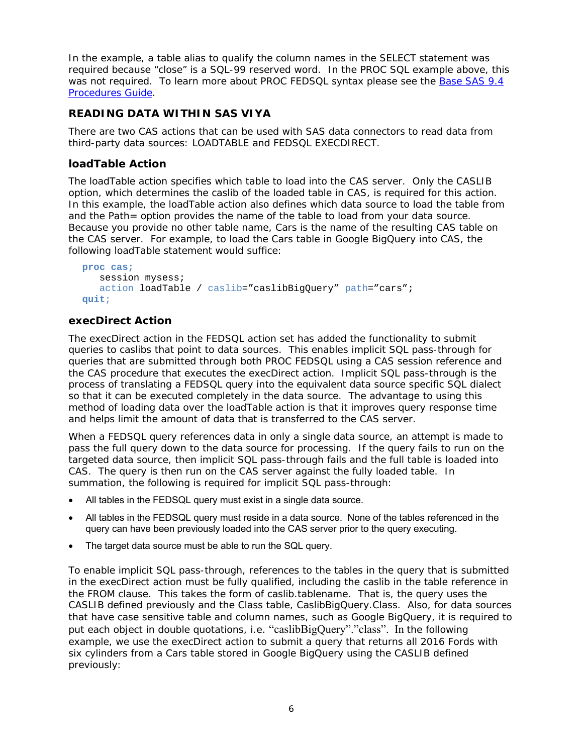In the example, a table alias to qualify the column names in the SELECT statement was required because "close" is a SQL-99 reserved word. In the PROC SQL example above, this was not required. To learn more about PROC FEDSQL syntax please see the Base SAS 9.4 Procedures Guide.

### **READING DATA WITHIN SAS VIYA**

There are two CAS actions that can be used with SAS data connectors to read data from third-party data sources: LOADTABLE and FEDSQL EXECDIRECT.

### **loadTable Action**

The loadTable action specifies which table to load into the CAS server. Only the CASLIB option, which determines the caslib of the loaded table in CAS, is required for this action. In this example, the loadTable action also defines which data source to load the table from and the Path= option provides the name of the table to load from your data source. Because you provide no other table name, Cars is the name of the resulting CAS table on the CAS server. For example, to load the Cars table in Google BigQuery into CAS, the following loadTable statement would suffice:

```
proc cas;
    session mysess;
   action loadTable / caslib="caslibBigQuery" path="cars";
quit;
```
### **execDirect Action**

The execDirect action in the FEDSQL action set has added the functionality to submit queries to caslibs that point to data sources. This enables implicit SQL pass-through for queries that are submitted through both PROC FEDSQL using a CAS session reference and the CAS procedure that executes the execDirect action. Implicit SQL pass-through is the process of translating a FEDSQL query into the equivalent data source specific SQL dialect so that it can be executed completely in the data source. The advantage to using this method of loading data over the loadTable action is that it improves query response time and helps limit the amount of data that is transferred to the CAS server.

When a FEDSQL query references data in only a single data source, an attempt is made to pass the full query down to the data source for processing. If the query fails to run on the targeted data source, then implicit SQL pass-through fails and the full table is loaded into CAS. The query is then run on the CAS server against the fully loaded table. In summation, the following is required for implicit SQL pass-through:

- All tables in the FEDSQL query must exist in a single data source.
- All tables in the FEDSQL query must reside in a data source. None of the tables referenced in the query can have been previously loaded into the CAS server prior to the query executing.
- The target data source must be able to run the SQL query.

To enable implicit SQL pass-through, references to the tables in the query that is submitted in the execDirect action must be fully qualified, including the caslib in the table reference in the FROM clause. This takes the form of caslib.tablename. That is, the query uses the CASLIB defined previously and the Class table, CaslibBigQuery.Class. Also, for data sources that have case sensitive table and column names, such as Google BigQuery, it is required to put each object in double quotations, i.e. "caslibBigQuery"."class". In the following example, we use the execDirect action to submit a query that returns all 2016 Fords with six cylinders from a Cars table stored in Google BigQuery using the CASLIB defined previously: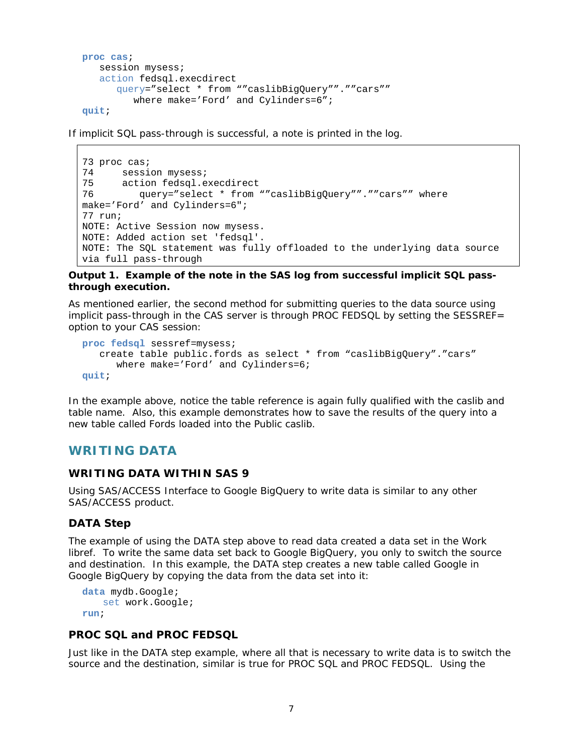```
proc cas;
    session mysess;
    action fedsql.execdirect
       query="select * from ""caslibBigQuery"".""cars""
         where make='Ford' and Cylinders=6";
quit;
```
If implicit SQL pass-through is successful, a note is printed in the log.

```
73 proc cas;
74 session mysess;
75 action fedsql.execdirect
76 query="select * from ""caslibBigQuery"".""cars"" where 
make='Ford' and Cylinders=6";
77 run;
NOTE: Active Session now mysess.
NOTE: Added action set 'fedsql'.
NOTE: The SQL statement was fully offloaded to the underlying data source 
via full pass-through
```
**Output 1. Example of the note in the SAS log from successful implicit SQL passthrough execution.**

As mentioned earlier, the second method for submitting queries to the data source using implicit pass-through in the CAS server is through PROC FEDSQL by setting the SESSREF= option to your CAS session:

```
proc fedsql sessref=mysess;
    create table public.fords as select * from "caslibBigQuery"."cars"
       where make='Ford' and Cylinders=6;
quit;
```
In the example above, notice the table reference is again fully qualified with the caslib and table name. Also, this example demonstrates how to save the results of the query into a new table called Fords loaded into the Public caslib.

# **WRITING DATA**

#### **WRITING DATA WITHIN SAS 9**

Using SAS/ACCESS Interface to Google BigQuery to write data is similar to any other SAS/ACCESS product.

#### **DATA Step**

The example of using the DATA step above to read data created a data set in the Work libref. To write the same data set back to Google BigQuery, you only to switch the source and destination. In this example, the DATA step creates a new table called Google in Google BigQuery by copying the data from the data set into it:

```
data mydb.Google;
   set work.Google;
run;
```
#### **PROC SQL and PROC FEDSQL**

Just like in the DATA step example, where all that is necessary to write data is to switch the source and the destination, similar is true for PROC SQL and PROC FEDSQL. Using the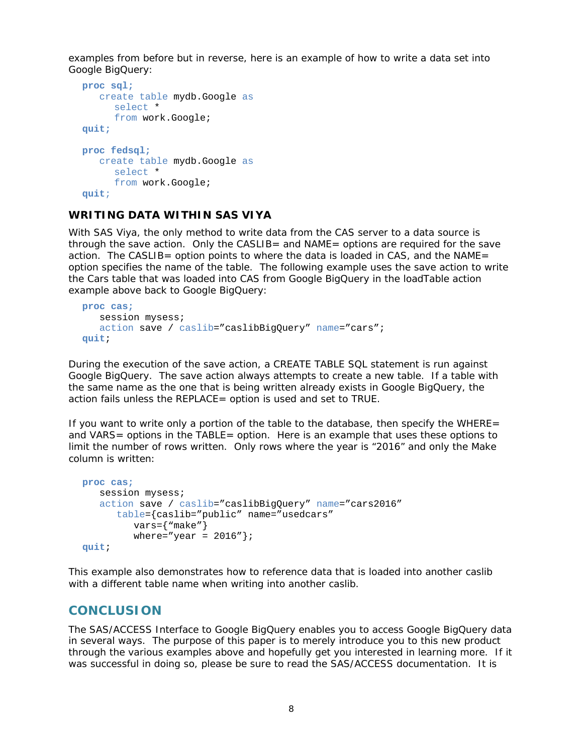examples from before but in reverse, here is an example of how to write a data set into Google BigQuery:

```
proc sql;
    create table mydb.Google as
      select *
      from work.Google;
quit;
proc fedsql;
    create table mydb.Google as
      select *
      from work.Google;
quit;
```
**WRITING DATA WITHIN SAS VIYA**

With SAS Viya, the only method to write data from the CAS server to a data source is through the save action. Only the CASLIB= and NAME= options are required for the save action. The CASLIB= option points to where the data is loaded in CAS, and the NAME= option specifies the name of the table. The following example uses the save action to write the Cars table that was loaded into CAS from Google BigQuery in the loadTable action example above back to Google BigQuery:

```
proc cas;
    session mysess;
    action save / caslib="caslibBigQuery" name="cars";
quit;
```
During the execution of the save action, a CREATE TABLE SQL statement is run against Google BigQuery. The save action always attempts to create a new table. If a table with the same name as the one that is being written already exists in Google BigQuery, the action fails unless the REPLACE= option is used and set to TRUE.

If you want to write only a portion of the table to the database, then specify the WHERE= and VARS= options in the TABLE= option. Here is an example that uses these options to limit the number of rows written. Only rows where the year is "2016" and only the Make column is written:

```
proc cas;
    session mysess;
    action save / caslib="caslibBigQuery" name="cars2016"
       table={caslib="public" name="usedcars"
         vars = \{ "make" \}where="year = 2016";
quit;
```
This example also demonstrates how to reference data that is loaded into another caslib with a different table name when writing into another caslib.

# **CONCLUSION**

The SAS/ACCESS Interface to Google BigQuery enables you to access Google BigQuery data in several ways. The purpose of this paper is to merely introduce you to this new product through the various examples above and hopefully get you interested in learning more. If it was successful in doing so, please be sure to read the SAS/ACCESS documentation. It is